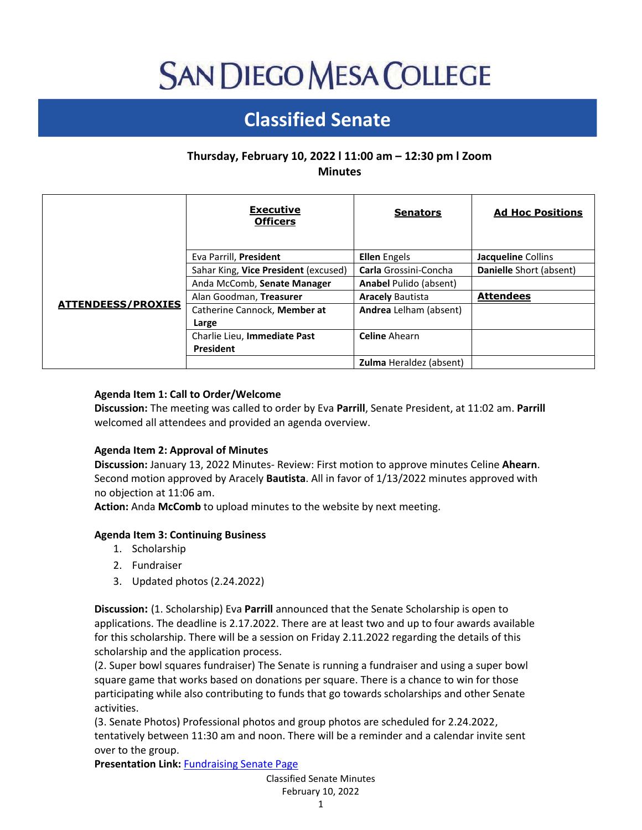# **SAN DIEGO MESA COLLEGE**

# **Classified Senate**

# **Thursday, February 10, 2022 l 11:00 am – 12:30 pm l Zoom Minutes**

|                           | <b>Executive</b><br><b>Officers</b>  | <b>Senators</b>                | <b>Ad Hoc Positions</b> |
|---------------------------|--------------------------------------|--------------------------------|-------------------------|
| <b>ATTENDEESS/PROXIES</b> | Eva Parrill, President               | <b>Ellen</b> Engels            | Jacqueline Collins      |
|                           | Sahar King, Vice President (excused) | Carla Grossini-Concha          | Danielle Short (absent) |
|                           | Anda McComb, Senate Manager          | <b>Anabel Pulido (absent)</b>  |                         |
|                           | Alan Goodman, Treasurer              | <b>Aracely Bautista</b>        | <b>Attendees</b>        |
|                           | Catherine Cannock, Member at         | Andrea Lelham (absent)         |                         |
|                           | Large                                |                                |                         |
|                           | Charlie Lieu, Immediate Past         | <b>Celine Ahearn</b>           |                         |
|                           | President                            |                                |                         |
|                           |                                      | <b>Zulma</b> Heraldez (absent) |                         |

# **Agenda Item 1: Call to Order/Welcome**

**Discussion:** The meeting was called to order by Eva **Parrill**, Senate President, at 11:02 am. **Parrill** welcomed all attendees and provided an agenda overview.

## **Agenda Item 2: Approval of Minutes**

**Discussion:** January 13, 2022 Minutes- Review: First motion to approve minutes Celine **Ahearn**. Second motion approved by Aracely **Bautista**. All in favor of 1/13/2022 minutes approved with no objection at 11:06 am.

**Action:** Anda **McComb** to upload minutes to the website by next meeting.

## **Agenda Item 3: Continuing Business**

- 1. Scholarship
- 2. Fundraiser
- 3. Updated photos (2.24.2022)

**Discussion:** (1. Scholarship) Eva **Parrill** announced that the Senate Scholarship is open to applications. The deadline is 2.17.2022. There are at least two and up to four awards available for this scholarship. There will be a session on Friday 2.11.2022 regarding the details of this scholarship and the application process.

(2. Super bowl squares fundraiser) The Senate is running a fundraiser and using a super bowl square game that works based on donations per square. There is a chance to win for those participating while also contributing to funds that go towards scholarships and other Senate activities.

(3. Senate Photos) Professional photos and group photos are scheduled for 2.24.2022, tentatively between 11:30 am and noon. There will be a reminder and a calendar invite sent over to the group.

**Presentation Link:** [Fundraising Senate Page](https://www.sdmesa.edu/about-mesa/governance/classified-senate/classified-senate-fundraising.shtml)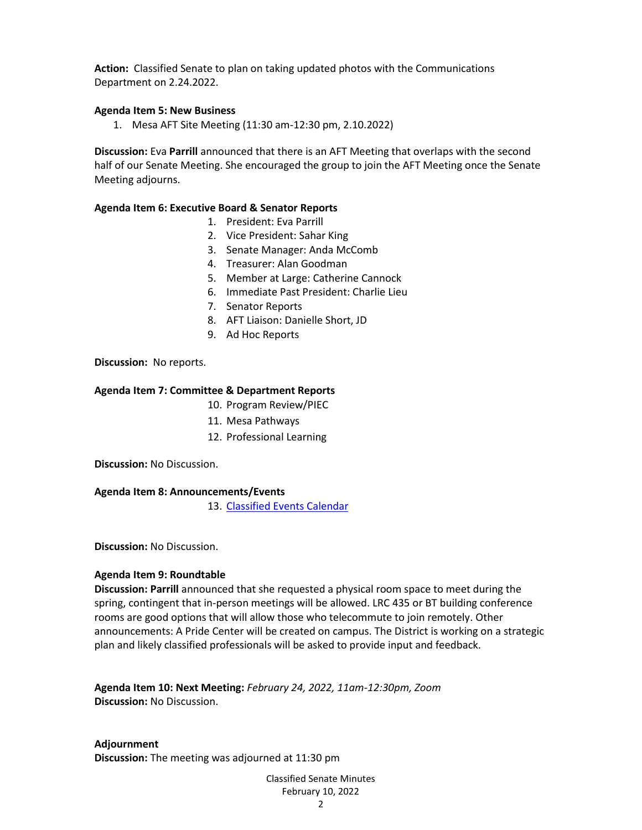**Action:** Classified Senate to plan on taking updated photos with the Communications Department on 2.24.2022.

#### **Agenda Item 5: New Business**

1. Mesa AFT Site Meeting (11:30 am-12:30 pm, 2.10.2022)

**Discussion:** Eva **Parrill** announced that there is an AFT Meeting that overlaps with the second half of our Senate Meeting. She encouraged the group to join the AFT Meeting once the Senate Meeting adjourns.

#### **Agenda Item 6: Executive Board & Senator Reports**

- 1. President: Eva Parrill
- 2. Vice President: Sahar King
- 3. Senate Manager: Anda McComb
- 4. Treasurer: Alan Goodman
- 5. Member at Large: Catherine Cannock
- 6. Immediate Past President: Charlie Lieu
- 7. Senator Reports
- 8. AFT Liaison: Danielle Short, JD
- 9. Ad Hoc Reports

**Discussion:** No reports.

#### **Agenda Item 7: Committee & Department Reports**

- 10. Program Review/PIEC
- 11. Mesa Pathways
- 12. Professional Learning

**Discussion:** No Discussion.

#### **Agenda Item 8: Announcements/Events**

13. [Classified Events Calendar](https://www.sdmesa.edu/about-mesa/governance/classified-senate/events/index.shtml)

**Discussion:** No Discussion.

#### **Agenda Item 9: Roundtable**

**Discussion: Parrill** announced that she requested a physical room space to meet during the spring, contingent that in-person meetings will be allowed. LRC 435 or BT building conference rooms are good options that will allow those who telecommute to join remotely. Other announcements: A Pride Center will be created on campus. The District is working on a strategic plan and likely classified professionals will be asked to provide input and feedback.

**Agenda Item 10: Next Meeting:** *February 24, 2022, 11am-12:30pm, Zoom* **Discussion:** No Discussion.

**Adjournment Discussion:** The meeting was adjourned at 11:30 pm